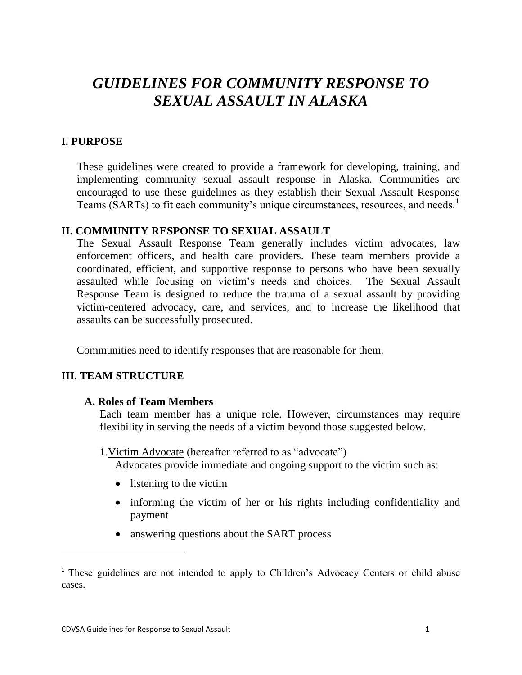# *GUIDELINES FOR COMMUNITY RESPONSE TO SEXUAL ASSAULT IN ALASKA*

# **I. PURPOSE**

These guidelines were created to provide a framework for developing, training, and implementing community sexual assault response in Alaska. Communities are encouraged to use these guidelines as they establish their Sexual Assault Response Teams (SARTs) to fit each community's unique circumstances, resources, and needs.<sup>1</sup>

#### **II. COMMUNITY RESPONSE TO SEXUAL ASSAULT**

The Sexual Assault Response Team generally includes victim advocates, law enforcement officers, and health care providers. These team members provide a coordinated, efficient, and supportive response to persons who have been sexually assaulted while focusing on victim's needs and choices. The Sexual Assault Response Team is designed to reduce the trauma of a sexual assault by providing victim-centered advocacy, care, and services, and to increase the likelihood that assaults can be successfully prosecuted.

Communities need to identify responses that are reasonable for them.

# **III. TEAM STRUCTURE**

l

#### **A. Roles of Team Members**

Each team member has a unique role. However, circumstances may require flexibility in serving the needs of a victim beyond those suggested below.

1.Victim Advocate (hereafter referred to as "advocate") Advocates provide immediate and ongoing support to the victim such as:

- listening to the victim
- informing the victim of her or his rights including confidentiality and payment
- answering questions about the SART process

<sup>&</sup>lt;sup>1</sup> These guidelines are not intended to apply to Children's Advocacy Centers or child abuse cases.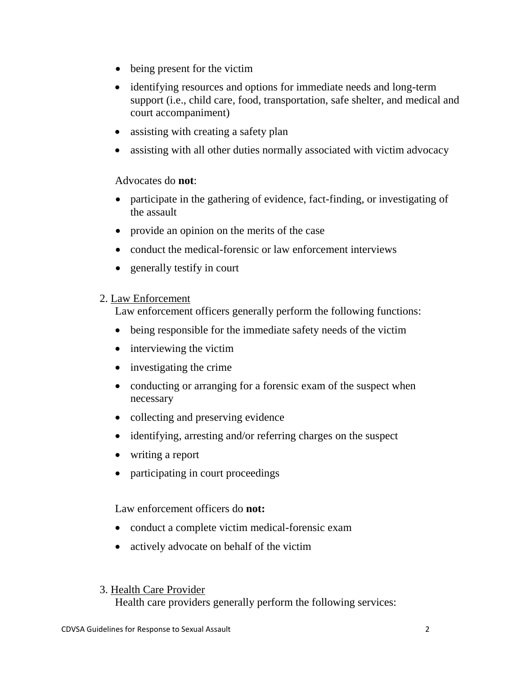- being present for the victim
- identifying resources and options for immediate needs and long-term support (i.e., child care, food, transportation, safe shelter, and medical and court accompaniment)
- assisting with creating a safety plan
- assisting with all other duties normally associated with victim advocacy

## Advocates do **not**:

- participate in the gathering of evidence, fact-finding, or investigating of the assault
- provide an opinion on the merits of the case
- conduct the medical-forensic or law enforcement interviews
- generally testify in court

#### 2. Law Enforcement

Law enforcement officers generally perform the following functions:

- being responsible for the immediate safety needs of the victim
- interviewing the victim
- investigating the crime
- conducting or arranging for a forensic exam of the suspect when necessary
- collecting and preserving evidence
- identifying, arresting and/or referring charges on the suspect
- writing a report
- participating in court proceedings

Law enforcement officers do **not:**

- conduct a complete victim medical-forensic exam
- actively advocate on behalf of the victim

#### 3. Health Care Provider

Health care providers generally perform the following services: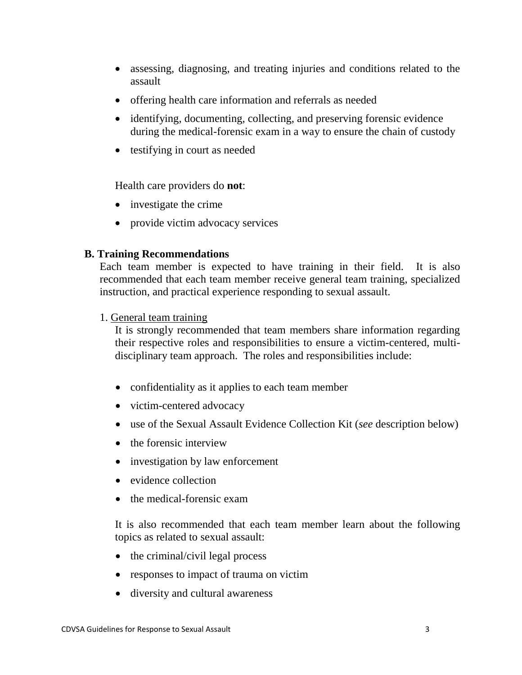- assessing, diagnosing, and treating injuries and conditions related to the assault
- offering health care information and referrals as needed
- identifying, documenting, collecting, and preserving forensic evidence during the medical-forensic exam in a way to ensure the chain of custody
- testifying in court as needed

Health care providers do **not**:

- investigate the crime
- provide victim advocacy services

#### **B. Training Recommendations**

Each team member is expected to have training in their field. It is also recommended that each team member receive general team training, specialized instruction, and practical experience responding to sexual assault.

1. General team training

It is strongly recommended that team members share information regarding their respective roles and responsibilities to ensure a victim-centered, multidisciplinary team approach. The roles and responsibilities include:

- confidentiality as it applies to each team member
- victim-centered advocacy
- use of the Sexual Assault Evidence Collection Kit (*see* description below)
- the forensic interview
- investigation by law enforcement
- evidence collection
- the medical-forensic exam

It is also recommended that each team member learn about the following topics as related to sexual assault:

- $\bullet$  the criminal/civil legal process
- responses to impact of trauma on victim
- diversity and cultural awareness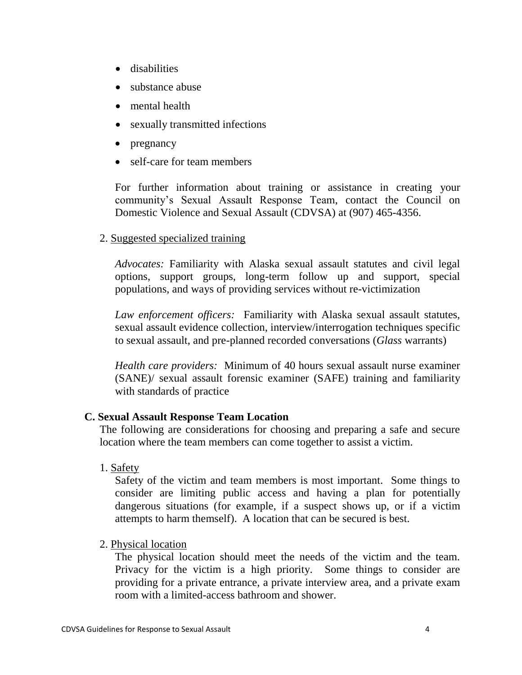- **•** disabilities
- substance abuse
- mental health
- sexually transmitted infections
- pregnancy
- self-care for team members

For further information about training or assistance in creating your community's Sexual Assault Response Team, contact the Council on Domestic Violence and Sexual Assault (CDVSA) at (907) 465-4356.

## 2. Suggested specialized training

*Advocates:* Familiarity with Alaska sexual assault statutes and civil legal options, support groups, long-term follow up and support, special populations, and ways of providing services without re-victimization

*Law enforcement officers:* Familiarity with Alaska sexual assault statutes, sexual assault evidence collection, interview/interrogation techniques specific to sexual assault, and pre-planned recorded conversations (*Glass* warrants)

*Health care providers:* Minimum of 40 hours sexual assault nurse examiner (SANE)/ sexual assault forensic examiner (SAFE) training and familiarity with standards of practice

#### **C. Sexual Assault Response Team Location**

The following are considerations for choosing and preparing a safe and secure location where the team members can come together to assist a victim.

1. Safety

Safety of the victim and team members is most important. Some things to consider are limiting public access and having a plan for potentially dangerous situations (for example, if a suspect shows up, or if a victim attempts to harm themself). A location that can be secured is best.

#### 2. Physical location

The physical location should meet the needs of the victim and the team. Privacy for the victim is a high priority. Some things to consider are providing for a private entrance, a private interview area, and a private exam room with a limited-access bathroom and shower.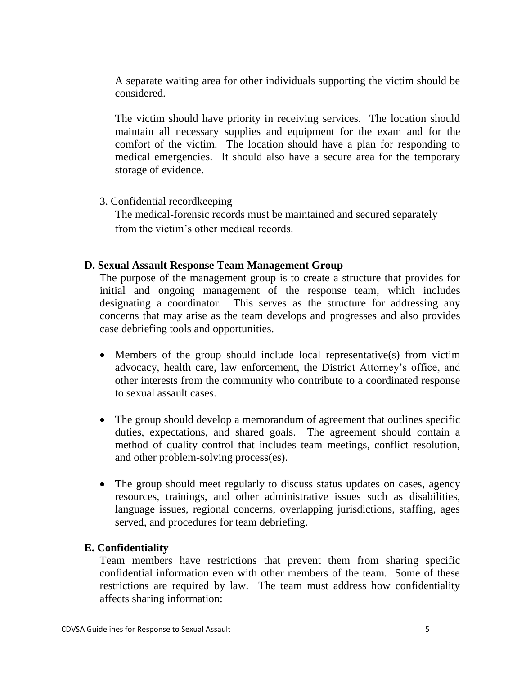A separate waiting area for other individuals supporting the victim should be considered.

The victim should have priority in receiving services. The location should maintain all necessary supplies and equipment for the exam and for the comfort of the victim. The location should have a plan for responding to medical emergencies. It should also have a secure area for the temporary storage of evidence.

#### 3. Confidential recordkeeping

The medical-forensic records must be maintained and secured separately from the victim's other medical records.

#### **D. Sexual Assault Response Team Management Group**

The purpose of the management group is to create a structure that provides for initial and ongoing management of the response team, which includes designating a coordinator. This serves as the structure for addressing any concerns that may arise as the team develops and progresses and also provides case debriefing tools and opportunities.

- Members of the group should include local representative(s) from victim advocacy, health care, law enforcement, the District Attorney's office, and other interests from the community who contribute to a coordinated response to sexual assault cases.
- The group should develop a memorandum of agreement that outlines specific duties, expectations, and shared goals. The agreement should contain a method of quality control that includes team meetings, conflict resolution, and other problem-solving process(es).
- The group should meet regularly to discuss status updates on cases, agency resources, trainings, and other administrative issues such as disabilities, language issues, regional concerns, overlapping jurisdictions, staffing, ages served, and procedures for team debriefing.

# **E. Confidentiality**

Team members have restrictions that prevent them from sharing specific confidential information even with other members of the team. Some of these restrictions are required by law. The team must address how confidentiality affects sharing information: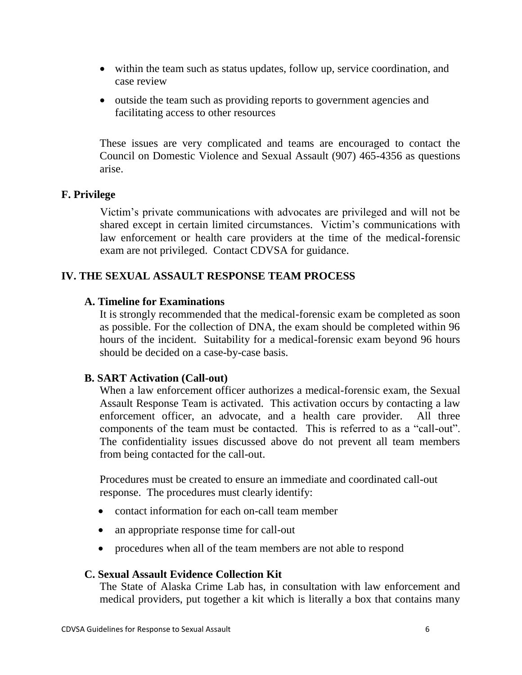- within the team such as status updates, follow up, service coordination, and case review
- outside the team such as providing reports to government agencies and facilitating access to other resources

These issues are very complicated and teams are encouraged to contact the Council on Domestic Violence and Sexual Assault (907) 465-4356 as questions arise.

## **F. Privilege**

Victim's private communications with advocates are privileged and will not be shared except in certain limited circumstances. Victim's communications with law enforcement or health care providers at the time of the medical-forensic exam are not privileged. Contact CDVSA for guidance.

# **IV. THE SEXUAL ASSAULT RESPONSE TEAM PROCESS**

## **A. Timeline for Examinations**

It is strongly recommended that the medical-forensic exam be completed as soon as possible. For the collection of DNA, the exam should be completed within 96 hours of the incident. Suitability for a medical-forensic exam beyond 96 hours should be decided on a case-by-case basis.

# **B. SART Activation (Call-out)**

When a law enforcement officer authorizes a medical-forensic exam, the Sexual Assault Response Team is activated. This activation occurs by contacting a law enforcement officer, an advocate, and a health care provider. All three components of the team must be contacted. This is referred to as a "call-out". The confidentiality issues discussed above do not prevent all team members from being contacted for the call-out.

Procedures must be created to ensure an immediate and coordinated call-out response. The procedures must clearly identify:

- contact information for each on-call team member
- an appropriate response time for call-out
- procedures when all of the team members are not able to respond

#### **C. Sexual Assault Evidence Collection Kit**

The State of Alaska Crime Lab has, in consultation with law enforcement and medical providers, put together a kit which is literally a box that contains many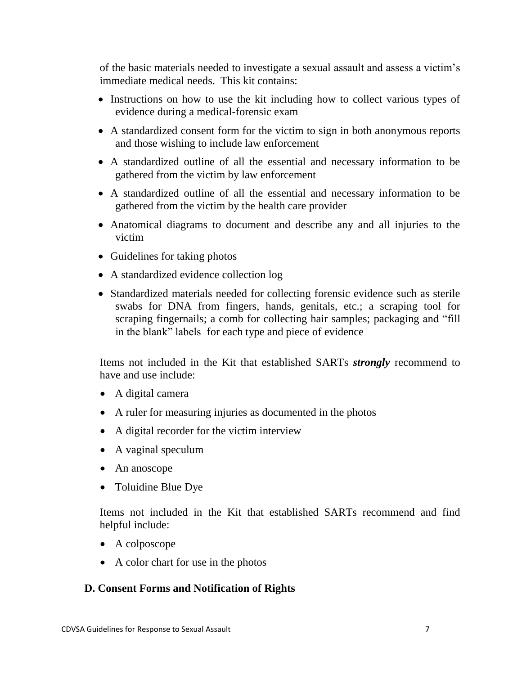of the basic materials needed to investigate a sexual assault and assess a victim's immediate medical needs. This kit contains:

- Instructions on how to use the kit including how to collect various types of evidence during a medical-forensic exam
- A standardized consent form for the victim to sign in both anonymous reports and those wishing to include law enforcement
- A standardized outline of all the essential and necessary information to be gathered from the victim by law enforcement
- A standardized outline of all the essential and necessary information to be gathered from the victim by the health care provider
- Anatomical diagrams to document and describe any and all injuries to the victim
- Guidelines for taking photos
- A standardized evidence collection log
- Standardized materials needed for collecting forensic evidence such as sterile swabs for DNA from fingers, hands, genitals, etc.; a scraping tool for scraping fingernails; a comb for collecting hair samples; packaging and "fill in the blank" labels for each type and piece of evidence

Items not included in the Kit that established SARTs *strongly* recommend to have and use include:

- A digital camera
- A ruler for measuring injuries as documented in the photos
- A digital recorder for the victim interview
- A vaginal speculum
- An anoscope
- Toluidine Blue Dye

Items not included in the Kit that established SARTs recommend and find helpful include:

- A colposcope
- A color chart for use in the photos

# **D. Consent Forms and Notification of Rights**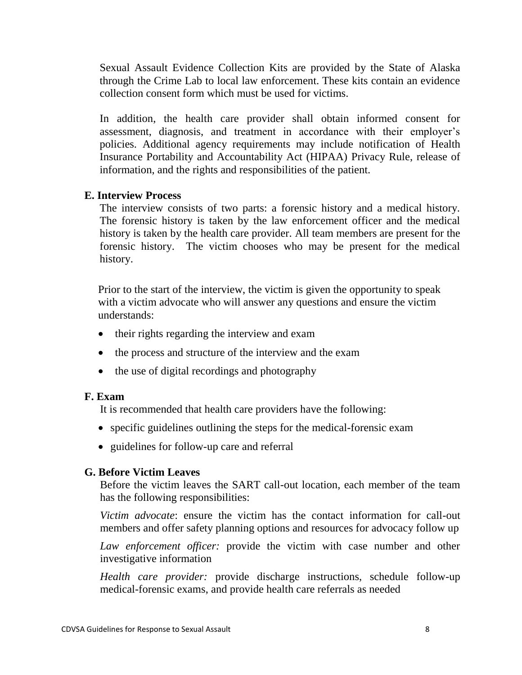Sexual Assault Evidence Collection Kits are provided by the State of Alaska through the Crime Lab to local law enforcement. These kits contain an evidence collection consent form which must be used for victims.

In addition, the health care provider shall obtain informed consent for assessment, diagnosis, and treatment in accordance with their employer's policies. Additional agency requirements may include notification of Health Insurance Portability and Accountability Act (HIPAA) Privacy Rule, release of information, and the rights and responsibilities of the patient.

#### **E. Interview Process**

The interview consists of two parts: a forensic history and a medical history. The forensic history is taken by the law enforcement officer and the medical history is taken by the health care provider. All team members are present for the forensic history. The victim chooses who may be present for the medical history.

Prior to the start of the interview, the victim is given the opportunity to speak with a victim advocate who will answer any questions and ensure the victim understands:

- their rights regarding the interview and exam
- the process and structure of the interview and the exam
- the use of digital recordings and photography

#### **F. Exam**

It is recommended that health care providers have the following:

- specific guidelines outlining the steps for the medical-forensic exam
- guidelines for follow-up care and referral

# **G. Before Victim Leaves**

Before the victim leaves the SART call-out location, each member of the team has the following responsibilities:

*Victim advocate*: ensure the victim has the contact information for call-out members and offer safety planning options and resources for advocacy follow up

*Law enforcement officer:* provide the victim with case number and other investigative information

*Health care provider:* provide discharge instructions, schedule follow-up medical-forensic exams, and provide health care referrals as needed